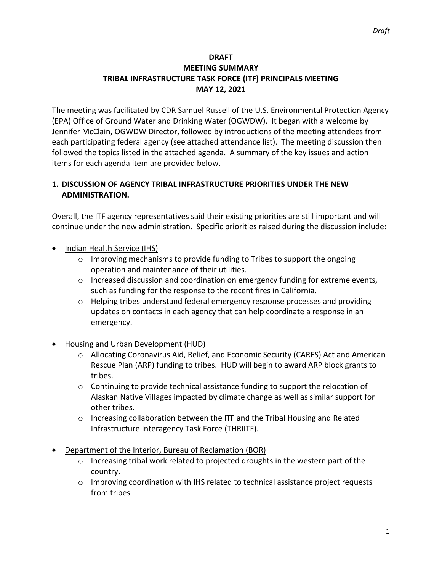## **DRAFT MEETING SUMMARY TRIBAL INFRASTRUCTURE TASK FORCE (ITF) PRINCIPALS MEETING MAY 12, 2021**

The meeting was facilitated by CDR Samuel Russell of the U.S. Environmental Protection Agency (EPA) Office of Ground Water and Drinking Water (OGWDW). It began with a welcome by Jennifer McClain, OGWDW Director, followed by introductions of the meeting attendees from each participating federal agency (see attached attendance list). The meeting discussion then followed the topics listed in the attached agenda. A summary of the key issues and action items for each agenda item are provided below.

# **1. DISCUSSION OF AGENCY TRIBAL INFRASTRUCTURE PRIORITIES UNDER THE NEW ADMINISTRATION.**

Overall, the ITF agency representatives said their existing priorities are still important and will continue under the new administration. Specific priorities raised during the discussion include:

- Indian Health Service (IHS)
	- $\circ$  Improving mechanisms to provide funding to Tribes to support the ongoing operation and maintenance of their utilities.
	- $\circ$  Increased discussion and coordination on emergency funding for extreme events, such as funding for the response to the recent fires in California.
	- $\circ$  Helping tribes understand federal emergency response processes and providing updates on contacts in each agency that can help coordinate a response in an emergency.
- Housing and Urban Development (HUD)
	- o Allocating Coronavirus Aid, Relief, and Economic Security (CARES) Act and American Rescue Plan (ARP) funding to tribes. HUD will begin to award ARP block grants to tribes.
	- $\circ$  Continuing to provide technical assistance funding to support the relocation of Alaskan Native Villages impacted by climate change as well as similar support for other tribes.
	- o Increasing collaboration between the ITF and the Tribal Housing and Related Infrastructure Interagency Task Force (THRIITF).
- Department of the Interior, Bureau of Reclamation (BOR)
	- o Increasing tribal work related to projected droughts in the western part of the country.
	- $\circ$  Improving coordination with IHS related to technical assistance project requests from tribes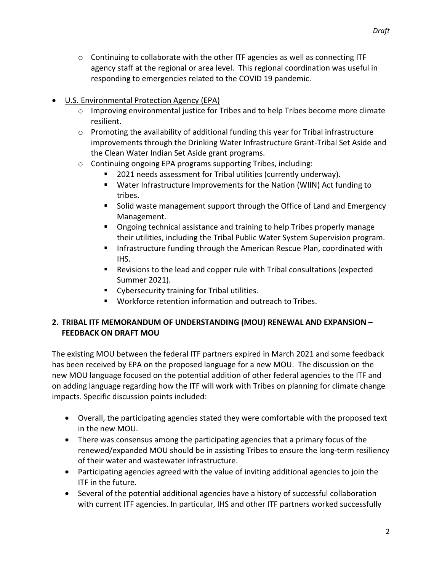- $\circ$  Continuing to collaborate with the other ITF agencies as well as connecting ITF agency staff at the regional or area level. This regional coordination was useful in responding to emergencies related to the COVID 19 pandemic.
- U.S. Environmental Protection Agency (EPA)
	- o Improving environmental justice for Tribes and to help Tribes become more climate resilient.
	- $\circ$  Promoting the availability of additional funding this year for Tribal infrastructure improvements through the Drinking Water Infrastructure Grant-Tribal Set Aside and the Clean Water Indian Set Aside grant programs.
	- o Continuing ongoing EPA programs supporting Tribes, including:
		- 2021 needs assessment for Tribal utilities (currently underway).
		- Water Infrastructure Improvements for the Nation (WIIN) Act funding to tribes.
		- **Solid waste management support through the Office of Land and Emergency** Management.
		- Ongoing technical assistance and training to help Tribes properly manage their utilities, including the Tribal Public Water System Supervision program.
		- **Infrastructure funding through the American Rescue Plan, coordinated with** IHS.
		- Revisions to the lead and copper rule with Tribal consultations (expected Summer 2021).
		- **•** Cybersecurity training for Tribal utilities.
		- Workforce retention information and outreach to Tribes.

# **2. TRIBAL ITF MEMORANDUM OF UNDERSTANDING (MOU) RENEWAL AND EXPANSION – FEEDBACK ON DRAFT MOU**

The existing MOU between the federal ITF partners expired in March 2021 and some feedback has been received by EPA on the proposed language for a new MOU. The discussion on the new MOU language focused on the potential addition of other federal agencies to the ITF and on adding language regarding how the ITF will work with Tribes on planning for climate change impacts. Specific discussion points included:

- Overall, the participating agencies stated they were comfortable with the proposed text in the new MOU.
- There was consensus among the participating agencies that a primary focus of the renewed/expanded MOU should be in assisting Tribes to ensure the long-term resiliency of their water and wastewater infrastructure.
- Participating agencies agreed with the value of inviting additional agencies to join the ITF in the future.
- Several of the potential additional agencies have a history of successful collaboration with current ITF agencies. In particular, IHS and other ITF partners worked successfully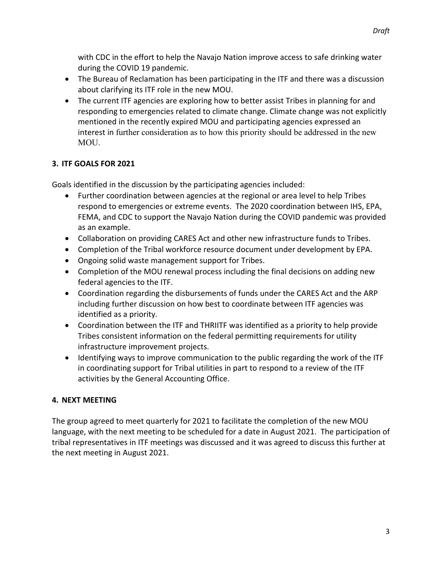with CDC in the effort to help the Navajo Nation improve access to safe drinking water during the COVID 19 pandemic.

- The Bureau of Reclamation has been participating in the ITF and there was a discussion about clarifying its ITF role in the new MOU.
- The current ITF agencies are exploring how to better assist Tribes in planning for and responding to emergencies related to climate change. Climate change was not explicitly mentioned in the recently expired MOU and participating agencies expressed an interest in further consideration as to how this priority should be addressed in the new MOU.

# **3. ITF GOALS FOR 2021**

Goals identified in the discussion by the participating agencies included:

- Further coordination between agencies at the regional or area level to help Tribes respond to emergencies or extreme events. The 2020 coordination between IHS, EPA, FEMA, and CDC to support the Navajo Nation during the COVID pandemic was provided as an example.
- Collaboration on providing CARES Act and other new infrastructure funds to Tribes.
- Completion of the Tribal workforce resource document under development by EPA.
- Ongoing solid waste management support for Tribes.
- Completion of the MOU renewal process including the final decisions on adding new federal agencies to the ITF.
- Coordination regarding the disbursements of funds under the CARES Act and the ARP including further discussion on how best to coordinate between ITF agencies was identified as a priority.
- Coordination between the ITF and THRIITF was identified as a priority to help provide Tribes consistent information on the federal permitting requirements for utility infrastructure improvement projects.
- Identifying ways to improve communication to the public regarding the work of the ITF in coordinating support for Tribal utilities in part to respond to a review of the ITF activities by the General Accounting Office.

#### **4. NEXT MEETING**

The group agreed to meet quarterly for 2021 to facilitate the completion of the new MOU language, with the next meeting to be scheduled for a date in August 2021. The participation of tribal representatives in ITF meetings was discussed and it was agreed to discuss this further at the next meeting in August 2021.